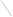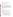## **AGENCY:** ENVIRONMENTAL PROTECTION AGENCY (EPA)

**TITLE:** "Indoor Environments: Reducing Public Exposure to Indoor Pollutants"

**ACTION:** Request for Applications (RFA) – Amendment No. 1

**RFA NO.:** EPA-OAR-IED-05-21

## **CATALOG OF FEDERAL DOMESTIC ASSISTANCE (CFDA) NO:** 66.034

**DATE:** November 17, 2005

**SUMMARY:** This notice is issued to extend the concept proposal submission date. The due dates for Stages 3 through 5 will be determined at the time of award recommendation. The Elements of the Cover Letter mentioned in Stage 2, has been amended to request that the applicant identify each pollutant and/or building type their proposal addresses. This notice also revises the language in the first paragraph under V. APPLICATION REVIEW INFORMATION on page 30 as well as section C. Review and Selection Process on page 32 contained in the Request for Application (RFA)/Request for Initial Proposals (RFIP). Changes are indicated in **bold.**All other parts of the RFA remain unchanged*.*

## **Accordingly,**

1. The DATES: Section is changed to read the following:

## DATES:

The closing date for receipt of concept proposals is **Monday, December 19, 2005 at 4:00 p.m. Eastern Standard Time (EST).** 

The proposals MUST be received by the contact point listed in Stage 3, Section III, C. 3, on or before the deadline date and time above. NO LATE PROPOSALS WILL BE CONSIDERED.

Due to the unique circumstances involving U.S. postal mail screening *(that can delay delivery by several weeks),* EPA strongly recommends that express mail option (i.e., FedEx, UPS, DHL, etc.) be used to submit all materials.

 1. A pre-proposal conference call will be held on Tuesday, October 25, 2005 from 2:00 pm to 4:00 pm EST. If you are interested in participating in this conference call please send an e-mail to "iaq.rfa@epa.gov" providing your organization's contact information (see Section IV, Stage 1) by Wednesday, October 19, 2005.

 2. A concept proposal consisting of a cover letter of up to two pages, SF-424, 424A and B, and a narrative workplan of up to 12 pages is due on or before **Monday,**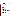**December 19, 2005 at 4:00 pm EST** (see Section IV, Stage 2). 2. Section IV. APPLICATION AND SUBMISSION PROCESS is changed to read the following:

Stage 2: Cover Letter, Concept Proposal and SF-424, 424A and 424B Submission

In addition to completing SF-424, 424A and 424B, applicants must complete a cover letter (maximum 2 pages) and concept proposal (maximum 12 pages, attached as a project narrative attachment form in Grants.gov) as described below. Only the concept proposal will be evaluated using the evaluation criteria set forth in Section V. of this RFA.

This information must be received no later than **Monday, December 19, 2005***,* **4:00 pm EST** to Shelley Blake*.* Proposals received after this deadline will not be considered.

How to Submit your Stage 2 Package via Mail:

If you choice to submit your Stage 2 Package via Mail your package must be received no later than **Monday, December 19, 2005, 4:00 pm EST** to Shelley Blake**.** Mailing address below:

Elements of the Cover Letter (will be attached as part of the project narrative attachment form in grants.gov)

The maximum two page cover letter will not be evaluated but must provide all of the following information:

1) Contact information for the organization:

- a) Name of organization
- b) Contact person's name
- c) Mailing address (express mail address if different than mailing address)
- d) E-mail address
- e) Phone and fax numbers

2) A statement that your organization has eligibility status (see Section III. A)

3) A description of your organization and its mission

4) Identification of **each pollutant(s) and/or building type(s) (i.e., radon, asthma, environmental tobacco smoke, air toxics, schools, public and commercial buildings, and homes***)* the concept proposal addresses.

Elements of the Concept Proposal (attached as part of the project narrative attachment form in grants.gov)

The two-page cover letter, SF-424, 424A and B and 12 page concept proposal (known as a project narrative attachment form in Grants.gov) with the scope of work, budget and key personnel must be submitted no later than **Monday, December 19, 2005, 4:00 pm EST** to Shelley Blake. No late proposals will be considered.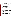Stage 4: Participate in a Conference Call Detailing the Formal Submission Process

The intent of the formal application assistance conference call is to answer any questions selected applicants for award recommendation may have about the federal assistance application process. Instructions will be e-mailed on how to participate in the conference call. **Notification of this conference call will be provided at the time the selected applicants are notified of award recommendation under Stage 3.** 

Stage 5: Submit a Full Application Package including all Supporting Documentation

When submitting the formal SF-424 "Request for Federal Assistance" application, it must be consistent with the selected concept proposal. **The due date for Formal SF-424 applications and all supporting documentation from selected applicants will be announced at the time applicants are notified of award recommendation under Stage 3.** 

Full Application Package Instructions and Submission Dates and Time

Application Submission Deadline:Your organization's AOR must submit your complete application electronically to EPA through Grants.gov (http://www.grants.gov) **on the due date specified at the time applicants are notified of award recommendation under Stage 3***.*Applications received after the deadline will not be considered for funding.

Please submit *all* of the application materials described below.

Application Materials

Deadline for Submission. The deadline for submission of the completed formal application package **will be announced at the time applicants are notified of award recommendation under Stage 3***.*All application packages must be received in the program office listed below by the deadline. Applications received after the deadline will not be considered for funding.

3. The first paragraph and C. Review and Selection Process under Section V. APPLICATION REVIEW INFORMATION are changed to read the following:

**Concept proposals** will be evaluated against the proposal evaluation criterion set forth below*.* Concept proposals that are best able to directly and explicitly address these criteria will have a greater likelihood of selection. **We encourage innovative projects that address more than one of EPA's indoor air quality priority areas as described in Section I. FUNDING OPPORTUNITY DESCRIPTION of this announcement. For proposals that address more than one of EPA's indoor air quality priority areas as identified in Section I. of this announcement, EPA will evaluate each priority area component addressed in such a multidimensional proposal separately based on the full 200-point scale specified in Section V. A. Evaluation Criteria, of this announcement. The score earned will be considered by each**